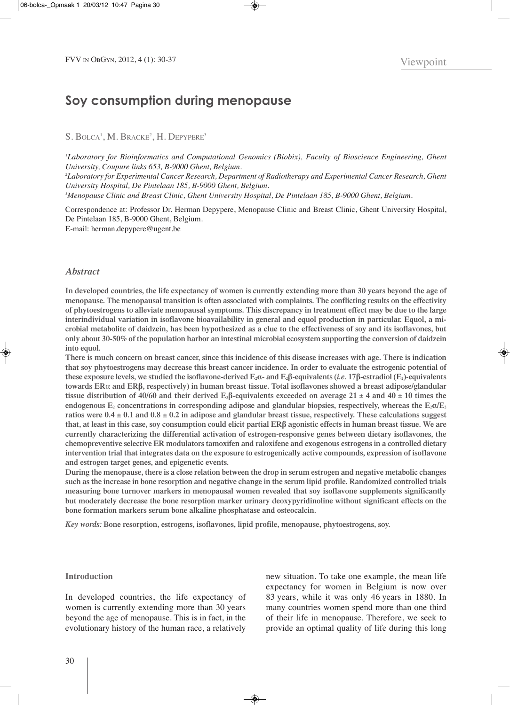# **Soy consumption during menopause**

# S. BOLCA<sup>1</sup>, M. Bracke<sup>2</sup>, H. Depypere<sup>3</sup>

*1 Laboratory for Bioinformatics and Computational Genomics (Biobix), Faculty of Bioscience Engineering, Ghent University, Coupure links 653, B-9000 Ghent, Belgium. 2 Laboratory for Experimental Cancer Research, Department of Radiotherapy and Experimental Cancer Research, Ghent University Hospital, De Pintelaan 185, B-9000 Ghent, Belgium. 3 Menopause Clinic and Breast Clinic, Ghent University Hospital, De Pintelaan 185, B-9000 Ghent, Belgium.*

correspondence at: professor Dr. Herman Depypere, Menopause clinic and breast clinic, Ghent University Hospital, De Pintelaan 185, B-9000 Ghent, Belgium. e-mail: herman.depypere@ugent.be

## *Abstract*

**In developed countries, the life expectancy of women is currently extending more than 30 years beyond the age of menopause. The menopausal transition is often associated with complaints. The conflicting results on the effectivity of phytoestrogens to alleviate menopausal symptoms. This discrepancy in treatment effect may be due to the large interindividual variation in isoflavone bioavailability in general and equol production in particular. Equol, a microbial metabolite of daidzein, has been hypothesized as a clue to the effectiveness of soy and its isoflavones, but only about 30-50% of the population harbor an intestinal microbial ecosystem supporting the conversion of daidzein into equol.** 

**There is much concern on breast cancer, since this incidence of this disease increases with age. There is indication that soy phytoestrogens may decrease this breast cancer incidence. In order to evaluate the estrogenic potential of these exposure levels, we studied the isoflavone-derived**  $E_2\alpha$ **- and**  $E_2\beta$ **-equivalents (***i.e.* **17β-estradiol (** $E_2$ **)-equivalents towards ER**α **and ERβ, respectively) in human breast tissue. Total isoflavones showed a breast adipose/glandular tissue distribution of 40/60 and their derived E<sub>2</sub>** $\beta$ **-equivalents exceeded on average 21**  $\pm$  **4 and 40**  $\pm$  **10 times the** endogenous  $E_2$  concentrations in corresponding adipose and glandular biopsies, respectively, whereas the  $E_2\alpha/E_2$ **ratios were 0.4 ± 0.1 and 0.8 ± 0.2 in adipose and glandular breast tissue, respectively. These calculations suggest that, at least in this case, soy consumption could elicit partial ERβ agonistic effects in human breast tissue. We are currently characterizing the differential activation of estrogen-responsive genes between dietary isoflavones, the chemopreventive selective ER modulators tamoxifen and raloxifene and exogenous estrogens in a controlled dietary intervention trial that integrates data on the exposure to estrogenically active compounds, expression of isoflavone and estrogen target genes, and epigenetic events.** 

**During the menopause, there is a close relation between the drop in serum estrogen and negative metabolic changes such as the increase in bone resorption and negative change in the serum lipid profile. Randomized controlled trials measuring bone turnover markers in menopausal women revealed that soy isoflavone supplements significantly but moderately decrease the bone resorption marker urinary deoxypyridinoline without significant effects on the bone formation markers serum bone alkaline phosphatase and osteocalcin.** 

*Key words:* **Bone resorption, estrogens, isoflavones, lipid profile, menopause, phytoestrogens, soy.**

## **Introduction**

In developed countries, the life expectancy of women is currently extending more than 30 years beyond the age of menopause. This is in fact, in the evolutionary history of the human race, a relatively new situation. To take one example, the mean life expectancy for women in belgium is now over 83 years, while it was only 46 years in 1880. in many countries women spend more than one third of their life in menopause. Therefore, we seek to provide an optimal quality of life during this long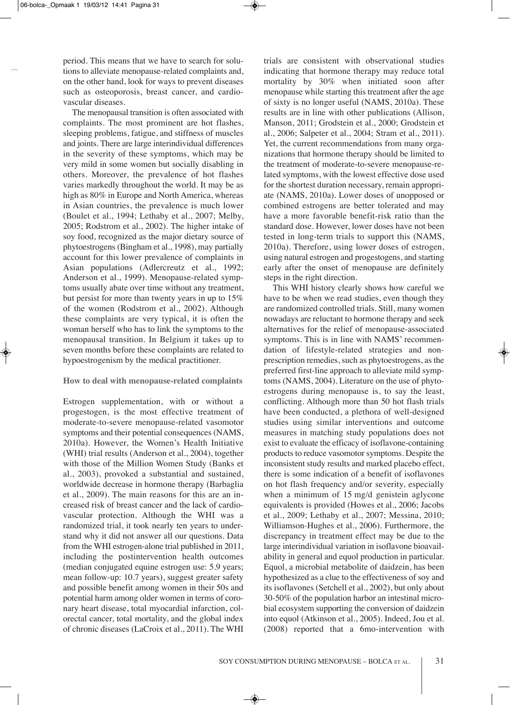period. This means that we have to search for solutions to alleviate menopause-related complaints and, on the other hand, look for ways to prevent diseases such as osteoporosis, breast cancer, and cardiovascular diseases.

The menopausal transition is often associated with complaints. The most prominent are hot flashes, sleeping problems, fatigue, and stiffness of muscles and joints. There are large interindividual differences in the severity of these symptoms, which may be very mild in some women but socially disabling in others. Moreover, the prevalence of hot flashes varies markedly throughout the world. It may be as high as 80% in Europe and North America, whereas in Asian countries, the prevalence is much lower (boulet et al., 1994; lethaby et al., 2007; Melby, 2005; Rodstrom et al., 2002). The higher intake of soy food, recognized as the major dietary source of phytoestrogens (bingham et al., 1998), may partially account for this lower prevalence of complaints in Asian populations (Adlercreutz et al., 1992; Anderson et al., 1999). Menopause-related symptoms usually abate over time without any treatment, but persist for more than twenty years in up to 15% of the women (Rodstrom et al., 2002). Although these complaints are very typical, it is often the woman herself who has to link the symptoms to the menopausal transition. In Belgium it takes up to seven months before these complaints are related to hypoestrogenism by the medical practitioner.

# **How to deal with menopause-related complaints**

Estrogen supplementation, with or without a progestogen, is the most effective treatment of moderate-to-severe menopause-related vasomotor symptoms and their potential consequences (NAMS, 2010a). However, the Women's Health Initiative (WHI) trial results (Anderson et al., 2004), together with those of the Million Women Study (Banks et al., 2003), provoked a substantial and sustained, worldwide decrease in hormone therapy (Barbaglia et al., 2009). The main reasons for this are an increased risk of breast cancer and the lack of cardiovascular protection. although the WHi was a randomized trial, it took nearly ten years to understand why it did not answer all our questions. Data from the WHi estrogen-alone trial published in 2011, including the postintervention health outcomes (median conjugated equine estrogen use: 5.9 years; mean follow-up: 10.7 years), suggest greater safety and possible benefit among women in their 50s and potential harm among older women in terms of coronary heart disease, total myocardial infarction, colorectal cancer, total mortality, and the global index of chronic diseases (lacroix et al., 2011). The WHi

trials are consistent with observational studies indicating that hormone therapy may reduce total mortality by 30% when initiated soon after menopause while starting this treatment after the age of sixty is no longer useful (NAMS, 2010a). These results are in line with other publications (Allison, Manson, 2011; Grodstein et al., 2000; Grodstein et al., 2006; Salpeter et al., 2004; Stram et al., 2011). Yet, the current recommendations from many organizations that hormone therapy should be limited to the treatment of moderate-to-severe menopause-related symptoms, with the lowest effective dose used for the shortest duration necessary, remain appropriate (NAMS, 2010a). Lower doses of unopposed or combined estrogens are better tolerated and may have a more favorable benefit-risk ratio than the standard dose. However, lower doses have not been tested in long-term trials to support this (NAMS, 2010a). Therefore, using lower doses of estrogen, using natural estrogen and progestogens, and starting early after the onset of menopause are definitely steps in the right direction.

This WHi history clearly shows how careful we have to be when we read studies, even though they are randomized controlled trials. Still, many women nowadays are reluctant to hormone therapy and seek alternatives for the relief of menopause-associated symptoms. This is in line with NAMS' recommendation of lifestyle-related strategies and nonprescription remedies, such as phytoestrogens, as the preferred first-line approach to alleviate mild symptoms (NAMS, 2004). Literature on the use of phytoestrogens during menopause is, to say the least, conflicting. Although more than 50 hot flash trials have been conducted, a plethora of well-designed studies using similar interventions and outcome measures in matching study populations does not exist to evaluate the efficacy of isoflavone-containing products to reduce vasomotor symptoms. Despite the inconsistent study results and marked placebo effect, there is some indication of a benefit of isoflavones on hot flash frequency and/or severity, especially when a minimum of 15 mg/d genistein aglycone equivalents is provided (Howes et al., 2006; Jacobs et al., 2009; lethaby et al., 2007; Messina, 2010; Williamson-Hughes et al., 2006). Furthermore, the discrepancy in treatment effect may be due to the large interindividual variation in isoflavone bioavailability in general and equol production in particular. Equol, a microbial metabolite of daidzein, has been hypothesized as a clue to the effectiveness of soy and its isoflavones (Setchell et al., 2002), but only about 30-50% of the population harbor an intestinal microbial ecosystem supporting the conversion of daidzein into equol (Atkinson et al., 2005). Indeed, Jou et al. (2008) reported that a 6mo-intervention with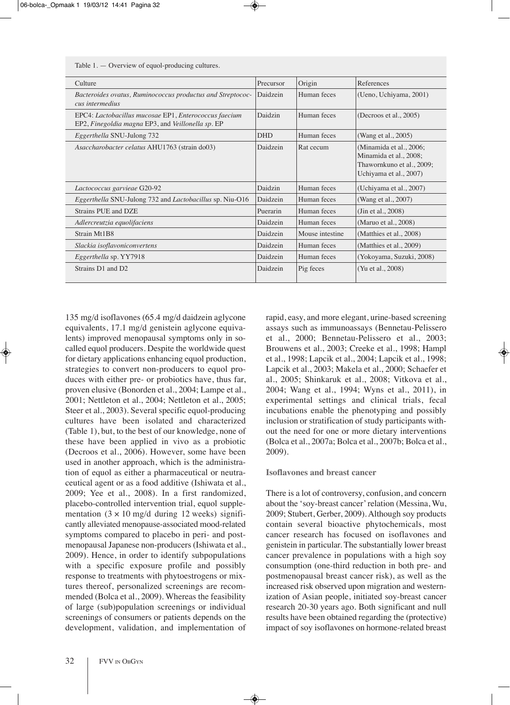Table 1. — Overview of equol-producing cultures.

| Culture                                                                                                    | Precursor  | Origin          | References                                                                                               |
|------------------------------------------------------------------------------------------------------------|------------|-----------------|----------------------------------------------------------------------------------------------------------|
| Bacteroides ovatus, Ruminococcus productus and Streptococ-<br>cus intermedius                              | Daidzein   | Human feces     | (Ueno, Uchiyama, 2001)                                                                                   |
| EPC4: Lactobacillus mucosae EP1, Enterococcus faecium<br>EP2, Finegoldia magna EP3, and Veillonella sp. EP | Daidzin    | Human feces     | (Decroos et al., $2005$ )                                                                                |
| Eggerthella SNU-Julong 732                                                                                 | <b>DHD</b> | Human feces     | (Wang et al., 2005)                                                                                      |
| Asaccharobacter celatus AHU1763 (strain do03)                                                              | Daidzein   | Rat cecum       | (Minamida et al., 2006;<br>Minamida et al., 2008;<br>Thawornkuno et al., 2009;<br>Uchiyama et al., 2007) |
| Lactococcus garvieae G20-92                                                                                | Daidzin    | Human feces     | (Uchiyama et al., 2007)                                                                                  |
| Eggerthella SNU-Julong 732 and Lactobacillus sp. Niu-O16                                                   | Daidzein   | Human feces     | (Wang et al., 2007)                                                                                      |
| Strains PUE and DZE                                                                                        | Puerarin   | Human feces     | (Jin et al., $2008$ )                                                                                    |
| Adlercreutzia equolifaciens                                                                                | Daidzein   | Human feces     | (Maruo et al., 2008)                                                                                     |
| Strain Mt1B8                                                                                               | Daidzein   | Mouse intestine | (Matthies et al., 2008)                                                                                  |
| Slackia isoflavoniconvertens                                                                               | Daidzein   | Human feces     | (Matthies et al., 2009)                                                                                  |
| Eggerthella sp. YY7918                                                                                     | Daidzein   | Human feces     | (Yokoyama, Suzuki, 2008)                                                                                 |
| Strains D1 and D2                                                                                          | Daidzein   | Pig feces       | (Yu et al., 2008)                                                                                        |

135 mg/d isoflavones (65.4 mg/d daidzein aglycone equivalents, 17.1 mg/d genistein aglycone equivalents) improved menopausal symptoms only in socalled equol producers. Despite the worldwide quest for dietary applications enhancing equol production, strategies to convert non-producers to equol produces with either pre- or probiotics have, thus far, proven elusive (bonorden et al., 2004; lampe et al., 2001; Nettleton et al., 2004; Nettleton et al., 2005; Steer et al., 2003). Several specific equol-producing cultures have been isolated and characterized (Table 1), but, to the best of our knowledge, none of these have been applied in vivo as a probiotic (Decroos et al., 2006). However, some have been used in another approach, which is the administration of equol as either a pharmaceutical or neutraceutical agent or as a food additive (Ishiwata et al., 2009; yee et al., 2008). in a first randomized, placebo-controlled intervention trial, equol supplementation  $(3 \times 10 \text{ mg/d}$  during 12 weeks) significantly alleviated menopause-associated mood-related symptoms compared to placebo in peri- and postmenopausal Japanese non-producers (Ishiwata et al., 2009). Hence, in order to identify subpopulations with a specific exposure profile and possibly response to treatments with phytoestrogens or mixtures thereof, personalized screenings are recommended (Bolca et al., 2009). Whereas the feasibility of large (sub)population screenings or individual screenings of consumers or patients depends on the development, validation, and implementation of rapid, easy, and more elegant, urine-based screening assays such as immunoassays (Bennetau-Pelissero et al., 2000; bennetau-pelissero et al., 2003; Brouwens et al., 2003; Creeke et al., 1998; Hampl et al., 1998; lapcik et al., 2004; lapcik et al., 1998; Lapcik et al., 2003; Makela et al., 2000; Schaefer et al., 2005; Shinkaruk et al., 2008; Vitkova et al., 2004; Wang et al., 1994; Wyns et al., 2011), in experimental settings and clinical trials, fecal incubations enable the phenotyping and possibly inclusion or stratification of study participants without the need for one or more dietary interventions (Bolca et al., 2007a; Bolca et al., 2007b; Bolca et al., 2009).

## **Isoflavones and breast cancer**

There is a lot of controversy, confusion, and concern about the 'soy-breast cancer'relation (Messina, Wu, 2009; Stubert, Gerber, 2009). Although soy products contain several bioactive phytochemicals, most cancer research has focused on isoflavones and genistein in particular. The substantially lower breast cancer prevalence in populations with a high soy consumption (one-third reduction in both pre- and postmenopausal breast cancer risk), as well as the increased risk observed upon migration and westernization of Asian people, initiated soy-breast cancer research 20-30 years ago. Both significant and null results have been obtained regarding the (protective) impact of soy isoflavones on hormone-related breast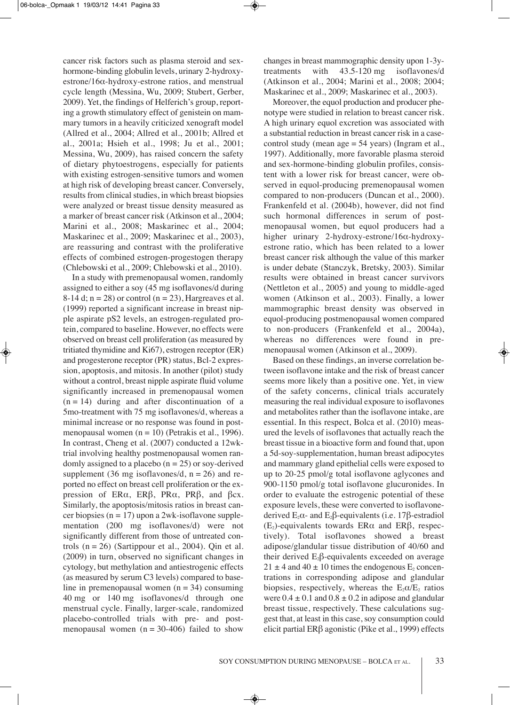cancer risk factors such as plasma steroid and sexhormone-binding globulin levels, urinary 2-hydroxyestrone/16α-hydroxy-estrone ratios, and menstrual cycle length (Messina, Wu, 2009; Stubert, Gerber, 2009). Yet, the findings of Helferich's group, reporting a growth stimulatory effect of genistein on mammary tumors in a heavily criticized xenograft model (allred et al., 2004; allred et al., 2001b; allred et al., 2001a; Hsieh et al., 1998; Ju et al., 2001; Messina, Wu, 2009), has raised concern the safety of dietary phytoestrogens, especially for patients with existing estrogen-sensitive tumors and women at high risk of developing breast cancer. conversely, results from clinical studies, in which breast biopsies were analyzed or breast tissue density measured as a marker of breast cancer risk (Atkinson et al., 2004; Marini et al., 2008; Maskarinec et al., 2004; Maskarinec et al., 2009; Maskarinec et al., 2003), are reassuring and contrast with the proliferative effects of combined estrogen-progestogen therapy (chlebowski et al., 2009; chlebowski et al., 2010).

In a study with premenopausal women, randomly assigned to either a soy (45 mg isoflavones/d during 8-14 d;  $n = 28$ ) or control ( $n = 23$ ), Hargreaves et al. (1999) reported a significant increase in breast nipple aspirate pS2 levels, an estrogen-regulated protein, compared to baseline. However, no effects were observed on breast cell proliferation (as measured by tritiated thymidine and  $Ki67$ , estrogen receptor  $(ER)$ and progesterone receptor (PR) status, Bcl-2 expression, apoptosis, and mitosis. In another (pilot) study without a control, breast nipple aspirate fluid volume significantly increased in premenopausal women  $(n = 14)$  during and after discontinuation of a 5mo-treatment with 75 mg isoflavones/d, whereas a minimal increase or no response was found in postmenopausal women ( $n = 10$ ) (Petrakis et al., 1996). In contrast, Cheng et al. (2007) conducted a 12wktrial involving healthy postmenopausal women randomly assigned to a placebo ( $n = 25$ ) or soy-derived supplement (36 mg isoflavones/d,  $n = 26$ ) and reported no effect on breast cell proliferation or the expression of  $ER\alpha$ ,  $ER\beta$ ,  $PR\alpha$ ,  $PR\beta$ , and  $\beta$ cx. Similarly, the apoptosis/mitosis ratios in breast cancer biopsies ( $n = 17$ ) upon a 2wk-isoflavone supplementation (200 mg isoflavones/d) were not significantly different from those of untreated controls  $(n = 26)$  (Sartippour et al., 2004). Qin et al. (2009) in turn, observed no significant changes in cytology, but methylation and antiestrogenic effects (as measured by serum c3 levels) compared to baseline in premenopausal women  $(n = 34)$  consuming 40 mg or 140 mg isoflavones/d through one menstrual cycle. Finally, larger-scale, randomized placebo-controlled trials with pre- and postmenopausal women  $(n = 30-406)$  failed to show

changes in breast mammographic density upon 1-3ytreatments with 43.5-120 mg isoflavones/d (atkinson et al., 2004; Marini et al., 2008; 2004; Maskarinec et al., 2009; Maskarinec et al., 2003).

Moreover, the equol production and producer phenotype were studied in relation to breast cancer risk. a high urinary equol excretion was associated with a substantial reduction in breast cancer risk in a casecontrol study (mean  $age = 54$  years) (Ingram et al., 1997). Additionally, more favorable plasma steroid and sex-hormone-binding globulin profiles, consistent with a lower risk for breast cancer, were observed in equol-producing premenopausal women compared to non-producers (Duncan et al., 2000). Frankenfeld et al. (2004b), however, did not find such hormonal differences in serum of postmenopausal women, but equol producers had a higher urinary 2-hydroxy-estrone/16α-hydroxyestrone ratio, which has been related to a lower breast cancer risk although the value of this marker is under debate (Stanczyk, Bretsky, 2003). Similar results were obtained in breast cancer survivors (Nettleton et al., 2005) and young to middle-aged women (Atkinson et al., 2003). Finally, a lower mammographic breast density was observed in equol-producing postmenopausal women compared to non-producers (Frankenfeld et al., 2004a), whereas no differences were found in premenopausal women (Atkinson et al., 2009).

based on these findings, an inverse correlation between isoflavone intake and the risk of breast cancer seems more likely than a positive one. Yet, in view of the safety concerns, clinical trials accurately measuring the real individual exposure to isoflavones and metabolites rather than the isoflavone intake, are essential. In this respect, Bolca et al. (2010) measured the levels of isoflavones that actually reach the breast tissue in a bioactive form and found that, upon a 5d-soy-supplementation, human breast adipocytes and mammary gland epithelial cells were exposed to up to 20-25 pmol/g total isoflavone aglycones and 900-1150 pmol/g total isoflavone glucuronides. in order to evaluate the estrogenic potential of these exposure levels, these were converted to isoflavonederived  $E_2\alpha$ - and  $E_2\beta$ -equivalents (i.e. 17 $\beta$ -estradiol  $(E_2)$ -equivalents towards ER $\alpha$  and ER $\beta$ , respectively). Total isoflavones showed a breast adipose/glandular tissue distribution of 40/60 and their derived  $E_2\beta$ -equivalents exceeded on average  $21 \pm 4$  and  $40 \pm 10$  times the endogenous  $E_2$  concentrations in corresponding adipose and glandular biopsies, respectively, whereas the  $E_2 \alpha / E_2$  ratios were  $0.4 \pm 0.1$  and  $0.8 \pm 0.2$  in adipose and glandular breast tissue, respectively. These calculations suggest that, at least in this case, soy consumption could elicit partial ERβ agonistic (Pike et al., 1999) effects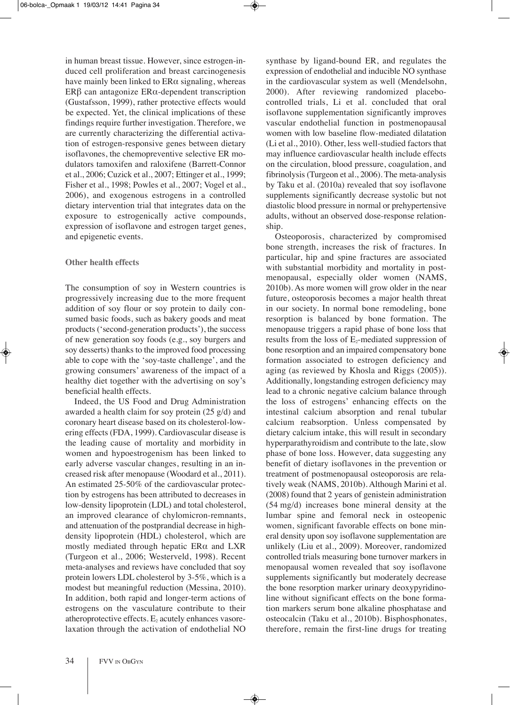in human breast tissue. However, since estrogen-induced cell proliferation and breast carcinogenesis have mainly been linked to  $ER\alpha$  signaling, whereas ERβ can antagonize  $ERα$ -dependent transcription (Gustafsson, 1999), rather protective effects would be expected. Yet, the clinical implications of these findings require further investigation. Therefore, we are currently characterizing the differential activation of estrogen-responsive genes between dietary isoflavones, the chemopreventive selective ER modulators tamoxifen and raloxifene (barrett-connor et al., 2006; Cuzick et al., 2007; Ettinger et al., 1999; Fisher et al., 1998; Powles et al., 2007; Vogel et al., 2006), and exogenous estrogens in a controlled dietary intervention trial that integrates data on the exposure to estrogenically active compounds, expression of isoflavone and estrogen target genes, and epigenetic events.

# **Other health effects**

The consumption of soy in Western countries is progressively increasing due to the more frequent addition of soy flour or soy protein to daily consumed basic foods, such as bakery goods and meat products ('second-generation products'), the success of new generation soy foods (e.g., soy burgers and soy desserts) thanks to the improved food processing able to cope with the 'soy-taste challenge', and the growing consumers' awareness of the impact of a healthy diet together with the advertising on soy's beneficial health effects.

Indeed, the US Food and Drug Administration awarded a health claim for soy protein (25 g/d) and coronary heart disease based on its cholesterol-lowering effects (FDA, 1999). Cardiovascular disease is the leading cause of mortality and morbidity in women and hypoestrogenism has been linked to early adverse vascular changes, resulting in an increased risk after menopause (Woodard et al., 2011). An estimated 25-50% of the cardiovascular protection by estrogens has been attributed to decreases in low-density lipoprotein (LDL) and total cholesterol, an improved clearance of chylomicron-remnants, and attenuation of the postprandial decrease in highdensity lipoprotein (HDL) cholesterol, which are mostly mediated through hepatic  $ER\alpha$  and  $LXR$ (Turgeon et al., 2006; Westerveld, 1998). Recent meta-analyses and reviews have concluded that soy protein lowers LDL cholesterol by 3-5%, which is a modest but meaningful reduction (Messina, 2010). In addition, both rapid and longer-term actions of estrogens on the vasculature contribute to their atheroprotective effects.  $E_2$  acutely enhances vasorelaxation through the activation of endothelial nO synthase by ligand-bound ER, and regulates the expression of endothelial and inducible NO synthase in the cardiovascular system as well (Mendelsohn, 2000). After reviewing randomized placebocontrolled trials, li et al. concluded that oral isoflavone supplementation significantly improves vascular endothelial function in postmenopausal women with low baseline flow-mediated dilatation (Li et al., 2010). Other, less well-studied factors that may influence cardiovascular health include effects on the circulation, blood pressure, coagulation, and fibrinolysis (Turgeon et al., 2006). The meta-analysis by Taku et al. (2010a) revealed that soy isoflavone supplements significantly decrease systolic but not diastolic blood pressure in normal or prehypertensive adults, without an observed dose-response relationship.

Osteoporosis, characterized by compromised bone strength, increases the risk of fractures. in particular, hip and spine fractures are associated with substantial morbidity and mortality in postmenopausal, especially older women (NAMS, 2010b). As more women will grow older in the near future, osteoporosis becomes a major health threat in our society. in normal bone remodeling, bone resorption is balanced by bone formation. The menopause triggers a rapid phase of bone loss that results from the loss of  $E_2$ -mediated suppression of bone resorption and an impaired compensatory bone formation associated to estrogen deficiency and aging (as reviewed by Khosla and Riggs (2005)). Additionally, longstanding estrogen deficiency may lead to a chronic negative calcium balance through the loss of estrogens' enhancing effects on the intestinal calcium absorption and renal tubular calcium reabsorption. Unless compensated by dietary calcium intake, this will result in secondary hyperparathyroidism and contribute to the late, slow phase of bone loss. However, data suggesting any benefit of dietary isoflavones in the prevention or treatment of postmenopausal osteoporosis are relatively weak (NAMS, 2010b). Although Marini et al. (2008) found that 2 years of genistein administration (54 mg/d) increases bone mineral density at the lumbar spine and femoral neck in osteopenic women, significant favorable effects on bone mineral density upon soy isoflavone supplementation are unlikely (Liu et al., 2009). Moreover, randomized controlled trials measuring bone turnover markers in menopausal women revealed that soy isoflavone supplements significantly but moderately decrease the bone resorption marker urinary deoxypyridinoline without significant effects on the bone formation markers serum bone alkaline phosphatase and osteocalcin (Taku et al., 2010b). Bisphosphonates, therefore, remain the first-line drugs for treating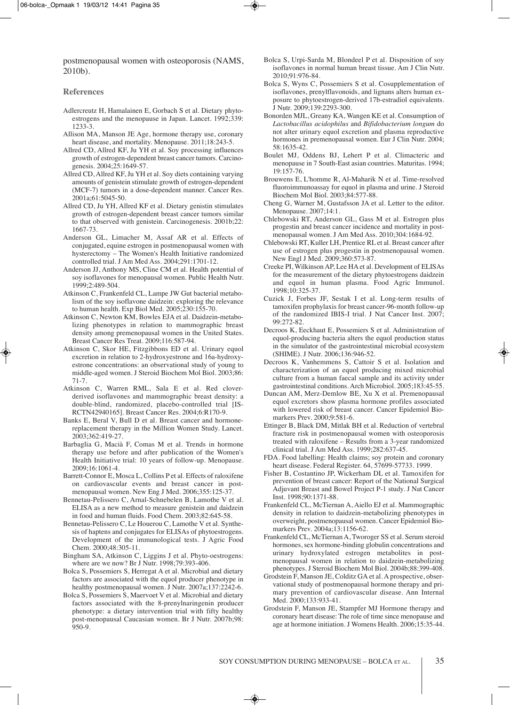postmenopausal women with osteoporosis (NAMS, 2010b).

#### **References**

- Adlercreutz H, Hamalainen E, Gorbach S et al. Dietary phytoestrogens and the menopause in Japan. Lancet. 1992;339: 1233-3.
- Allison MA, Manson JE Age, hormone therapy use, coronary heart disease, and mortality. Menopause. 2011;18:243-5.
- allred cD, allred kF, Ju yH et al. Soy processing influences growth of estrogen-dependent breast cancer tumors. Carcinogenesis. 2004;25:1649-57.
- allred cD, allred kF, Ju yH et al. Soy diets containing varying amounts of genistein stimulate growth of estrogen-dependent (MCF-7) tumors in a dose-dependent manner. Cancer Res. 2001a;61:5045-50.
- allred cD, Ju yH, allred kF et al. Dietary genistin stimulates growth of estrogen-dependent breast cancer tumors similar to that observed with genistein. Carcinogenesis. 2001b;22: 1667-73.
- Anderson GL, Limacher M, Assaf AR et al. Effects of conjugated, equine estrogen in postmenopausal women with hysterectomy – The Women's Health Initiative randomized controlled trial. J Am Med Ass. 2004;291:1701-12.
- Anderson JJ, Anthony MS, Cline CM et al. Health potential of soy isoflavones for menopausal women. Public Health Nutr. 1999;2:489-504.
- Atkinson C, Frankenfeld CL, Lampe JW Gut bacterial metabolism of the soy isoflavone daidzein: exploring the relevance to human health. Exp Biol Med. 2005;230:155-70.
- Atkinson C, Newton KM, Bowles EJA et al. Daidzein-metabolizing phenotypes in relation to mammographic breast density among premenopausal women in the United States. breast cancer res Treat. 2009;116:587-94.
- Atkinson C, Skor HE, Fitzgibbons ED et al. Urinary equol excretion in relation to 2-hydroxyestrone and 16a-hydroxyestrone concentrations: an observational study of young to middle-aged women. J Steroid Biochem Mol Biol. 2003;86: 71-7.
- Atkinson C, Warren RML, Sala E et al. Red cloverderived isoflavones and mammographic breast density: a double-blind, randomized, placebo-controlled trial [iS-RCTN42940165]. Breast Cancer Res. 2004;6:R170-9.
- Banks E, Beral V, Bull D et al. Breast cancer and hormonereplacement therapy in the Million Women Study. lancet. 2003;362:419-27.
- barbaglia G, Macià F, comas M et al. Trends in hormone therapy use before and after publication of the Women's Health Initiative trial: 10 years of follow-up. Menopause. 2009;16:1061-4.
- Barrett-Connor E, Mosca L, Collins P et al. Effects of raloxifene on cardiovascular events and breast cancer in postmenopausal women. New Eng J Med. 2006;355:125-37.
- Bennetau-Pelissero C, Arnal-Schnebelen B, Lamothe V et al. ELISA as a new method to measure genistein and daidzein in food and human fluids. Food chem. 2003;82:645-58.
- bennetau-pelissero c, le Houerou c, lamothe V et al. Synthesis of haptens and conjugates for ELISAs of phytoestrogens. Development of the immunological tests. J Agric Food chem. 2000;48:305-11.
- Bingham SA, Atkinson C, Liggins J et al. Phyto-oestrogens: where are we now? Br J Nutr. 1998;79:393-406.
- Bolca S, Possemiers S, Herregat A et al. Microbial and dietary factors are associated with the equol producer phenotype in healthy postmenopausal women. J Nutr. 2007a;137:2242-6.
- bolca S, possemiers S, Maervoet V et al. Microbial and dietary factors associated with the 8-prenylnaringenin producer phenotype: a dietary intervention trial with fifty healthy post-menopausal Caucasian women. Br J Nutr. 2007b;98: 950-9.
- Bolca S, Urpi-Sarda M, Blondeel P et al. Disposition of soy isoflavones in normal human breast tissue. Am J Clin Nutr. 2010;91:976-84.
- bolca S, Wyns c, possemiers S et al. cosupplementation of isoflavones, prenylflavonoids, and lignans alters human exposure to phytoestrogen-derived 17b-estradiol equivalents. J nutr. 2009;139:2293-300.
- Bonorden MJL, Greany KA, Wangen KE et al. Consumption of *Lactobacillus acidophilus* and *Bifidobacterium longum* do not alter urinary equol excretion and plasma reproductive hormones in premenopausal women. Eur J Clin Nutr. 2004; 58:1635-42.
- Boulet MJ, Oddens BJ, Lehert P et al. Climacteric and menopause in 7 South-East asian countries. Maturitas. 1994; 19:157-76.
- Brouwens E, L'homme R, Al-Maharik N et al. Time-resolved fluoroimmunoassay for equol in plasma and urine. J Steroid biochem Mol biol. 2003;84:577-88.
- Cheng G, Warner M, Gustafsson JA et al. Letter to the editor. Menopause. 2007;14:1.
- Chlebowski RT, Anderson GL, Gass M et al. Estrogen plus progestin and breast cancer incidence and mortality in postmenopausal women. J Am Med Ass. 2010;304:1684-92.
- Chlebowski RT, Kuller LH, Prentice RL et al. Breast cancer after use of estrogen plus progestin in postmenopausal women. new engl J Med. 2009;360:573-87.
- Creeke PI, Wilkinson AP, Lee HA et al. Development of ELISAs for the measurement of the dietary phytoestrogens daidzein and equol in human plasma. Food Agric Immunol. 1998;10:325-37.
- cuzick J, Forbes JF, Sestak i et al. long-term results of tamoxifen prophylaxis for breast cancer-96-month follow-up of the randomized IBIS-I trial. J Nat Cancer Inst. 2007; 99:272-82.
- Decroos K, Eeckhaut E, Possemiers S et al. Administration of equol-producing bacteria alters the equol production status in the simulator of the gastrointestinal microbial ecosystem (SHiMe). J nutr. 2006;136:946-52.
- Decroos K, Vanhemmens S, Cattoir S et al. Isolation and characterization of an equol producing mixed microbial culture from a human faecal sample and its activity under gastrointestinal conditions. Arch Microbiol. 2005;183:45-55.
- Duncan AM, Merz-Demlow BE, Xu X et al. Premenopausal equol excretors show plasma hormone profiles associated with lowered risk of breast cancer. Cancer Epidemiol Biomarkers prev. 2000;9:581-6.
- Ettinger B, Black DM, Mitlak BH et al. Reduction of vertebral fracture risk in postmenopausal women with osteoporosis treated with raloxifene  $-$  Results from a 3-year randomized clinical trial. J Am Med Ass. 1999;282:637-45.
- FDa. Food labelling: Health claims; soy protein and coronary heart disease. Federal Register. 64, 57699-57733. 1999.
- Fisher B, Costantino JP, Wickerham DL et al. Tamoxifen for prevention of breast cancer: Report of the National Surgical Adjuvant Breast and Bowel Project P-1 study. J Nat Cancer Inst. 1998;90:1371-88.
- Frankenfeld CL, McTiernan A, Aiello EJ et al. Mammographic density in relation to daidzein-metabolizing phenotypes in overweight, postmenopausal women. Cancer Epidemiol Biomarkers prev. 2004a;13:1156-62.
- Frankenfeld CL, McTiernan A, Tworoger SS et al. Serum steroid hormones, sex hormone-binding globulin concentrations and urinary hydroxylated estrogen metabolites in postmenopausal women in relation to daidzein-metabolizing phenotypes. J Steroid biochem Mol biol. 2004b;88:399-408.
- Grodstein F, Manson JE, Colditz GA et al. A prospective, observational study of postmenopausal hormone therapy and primary prevention of cardiovascular disease. Ann Internal Med. 2000;133:933-41.
- Grodstein F, Manson JE, Stampfer MJ Hormone therapy and coronary heart disease: The role of time since menopause and age at hormone initiation. J Womens Health. 2006;15:35-44.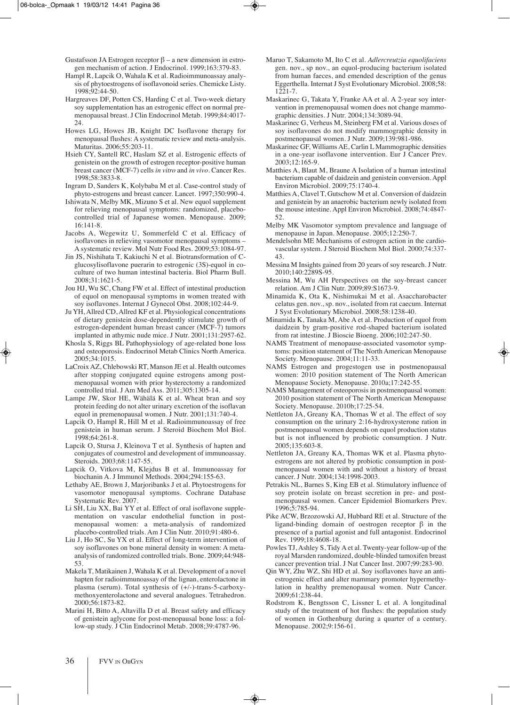- Gustafsson JA Estrogen receptor  $\beta$  a new dimension in estrogen mechanism of action. J Endocrinol. 1999;163:379-83.
- Hampl R, Lapcik O, Wahala K et al. Radioimmunoassay analysis of phytoestrogens of isoflavonoid series. Chemicke Listy. 1998;92:44-50.
- Hargreaves DF, Potten CS, Harding C et al. Two-week dietary soy supplementation has an estrogenic effect on normal premenopausal breast. J Clin Endocrinol Metab. 1999;84:4017- $24.$
- Howes LG, Howes JB, Knight DC Isoflavone therapy for menopausal flushes: A systematic review and meta-analysis. Maturitas. 2006;55:203-11.
- Hsieh CY, Santell RC, Haslam SZ et al. Estrogenic effects of genistein on the growth of estrogen receptor-positive human breast cancer (MCF-7) cells *in vitro* and *in vivo*. Cancer Res. 1998;58:3833-8.
- Ingram D, Sanders K, Kolybaba M et al. Case-control study of phyto-estrogens and breast cancer. lancet. 1997;350:990-4.
- Ishiwata N, Melby MK, Mizuno S et al. New equol supplement for relieving menopausal symptoms: randomized, placebocontrolled trial of Japanese women. Menopause. 2009;  $16:141-8$
- Jacobs A, Wegewitz U, Sommerfeld C et al. Efficacy of isoflavones in relieving vasomotor menopausal symptoms – A systematic review. Mol Nutr Food Res. 2009;53:1084-97.
- Jin JS, Nishihata T, Kakiuchi N et al. Biotransformation of Cglucosylisoflavone puerarin to estrogenic (3S)-equol in coculture of two human intestinal bacteria. Biol Pharm Bull. 2008;31:1621-5.
- Jou HJ, Wu SC, Chang FW et al. Effect of intestinal production of equol on menopausal symptoms in women treated with soy isoflavones. Internat J Gynecol Obst. 2008;102:44-9.
- Ju YH, Allred CD, Allred KF et al. Physiological concentrations of dietary genistein dose-dependently stimulate growth of estrogen-dependent human breast cancer (McF-7) tumors implanted in athymic nude mice. J Nutr. 2001;131:2957-62.
- Khosla S, Riggs BL Pathophysiology of age-related bone loss and osteoporosis. Endocrinol Metab Clinics North America. 2005;34:1015.
- LaCroix AZ, Chlebowski RT, Manson JE et al. Health outcomes after stopping conjugated equine estrogens among postmenopausal women with prior hysterectomy a randomized controlled trial. J Am Med Ass. 2011;305:1305-14.
- Lampe JW, Skor HE, Wähälä K et al. Wheat bran and soy protein feeding do not alter urinary excretion of the isoflavan equol in premenopausal women. J Nutr. 2001;131:740-4.
- Lapcik O, Hampl R, Hill M et al. Radioimmunoassay of free genistein in human serum. J Steroid Biochem Mol Biol. 1998;64:261-8.
- Lapcik O, Stursa J, Kleinova T et al. Synthesis of hapten and conjugates of coumestrol and development of immunoassay. Steroids. 2003;68:1147-55.
- Lapcik O, Vitkova M, Klejdus B et al. Immunoassay for biochanin A. J Immunol Methods. 2004;294:155-63.
- Lethaby AE, Brown J, Marjoribanks J et al. Phytoestrogens for vasomotor menopausal symptoms. cochrane Database Systematic Rev. 2007.
- Li SH, Liu XX, Bai YY et al. Effect of oral isoflavone supplementation on vascular endothelial function in postmenopausal women: a meta-analysis of randomized placebo-controlled trials. Am J Clin Nutr. 2010;91:480-6.
- Liu J, Ho SC, Su YX et al. Effect of long-term intervention of soy isoflavones on bone mineral density in women: A metaanalysis of randomized controlled trials. bone. 2009;44:948- 53.
- Makela T, Matikainen J, Wahala k et al. Development of a novel hapten for radioimmunoassay of the lignan, enterolactone in plasma (serum). Total synthesis of (+/-)-trans-5-carboxymethoxyenterolactone and several analogues. Tetrahedron. 2000;56:1873-82.
- Marini H, Bitto A, Altavilla D et al. Breast safety and efficacy of genistein aglycone for post-menopausal bone loss: a follow-up study. J Clin Endocrinol Metab. 2008;39:4787-96.
- Maruo T, Sakamoto M, ito c et al. *Adlercreutzia equolifaciens* gen. nov., sp nov., an equol-producing bacterium isolated from human faeces, and emended description of the genus Eggerthella. Internat J Syst Evolutionary Microbiol. 2008;58: 1221-7.
- Maskarinec G, Takata Y, Franke AA et al. A 2-year soy intervention in premenopausal women does not change mammographic densities. J nutr. 2004;134:3089-94.
- Maskarinec G, Verheus M, Steinberg FM et al. Various doses of soy isoflavones do not modify mammographic density in postmenopausal women. J nutr. 2009;139:981-986.
- Maskarinec GF, Williams AE, Carlin L Mammographic densities in a one-year isoflavone intervention. Eur J Cancer Prev. 2003;12:165-9.
- Matthies A, Blaut M, Braune A Isolation of a human intestinal bacterium capable of daidzein and genistein conversion. Appl Environ Microbiol. 2009;75:1740-4.
- Matthies A, Clavel T, Gutschow M et al. Conversion of daidzein and genistein by an anaerobic bacterium newly isolated from the mouse intestine. Appl Environ Microbiol. 2008;74:4847-52.
- Melby Mk Vasomotor symptom prevalence and language of menopause in Japan. Menopause. 2005;12:250-7.
- Mendelsohn ME Mechanisms of estrogen action in the cardiovascular system. J Steroid Biochem Mol Biol. 2000;74:337-43.
- Messina M Insights gained from 20 years of soy research. J Nutr. 2010;140:2289S-95.
- Messina M, Wu aH perspectives on the soy-breast cancer relation. Am J Clin Nutr. 2009;89:S1673-9.
- Minamida K, Ota K, Nishimukai M et al. Asaccharobacter celatus gen. nov., sp. nov., isolated from rat caecum. Internat J Syst Evolutionary Microbiol. 2008;58:1238-40.
- Minamida K, Tanaka M, Abe A et al. Production of equol from daidzein by gram-positive rod-shaped bacterium isolated from rat intestine. J Bioscie Bioeng. 2006;102:247-50.
- NAMS Treatment of menopause-associated vasomotor symptoms: position statement of The North American Menopause Society. Menopause. 2004;11:11-33.
- NAMS Estrogen and progestogen use in postmenopausal women: 2010 position statement of The North American Menopause Society. Menopause. 2010a;17:242-55.
- NAMS Management of osteoporosis in postmenopausal women: 2010 position statement of The North American Menopause Society. Menopause. 2010b;17:25-54.
- Nettleton JA, Greany KA, Thomas W et al. The effect of soy consumption on the urinary 2:16-hydroxysterone ration in postmenopausal women depends on equol production status but is not influenced by probiotic consumption. J Nutr. 2005;135:603-8.
- Nettleton JA, Greany KA, Thomas WK et al. Plasma phytoestrogens are not altered by probiotic consumption in postmenopausal women with and without a history of breast cancer. J Nutr. 2004;134:1998-2003.
- Petrakis NL, Barnes S, King EB et al. Stimulatory influence of soy protein isolate on breast secretion in pre- and postmenopausal women. Cancer Epidemiol Biomarkers Prev. 1996;5:785-94.
- Pike ACW, Brzozowski AJ, Hubbard RE et al. Structure of the ligand-binding domain of oestrogen receptor β in the presence of a partial agonist and full antagonist. Endocrinol rev. 1999;18:4608-18.
- Powles TJ, Ashley S, Tidy A et al. Twenty-year follow-up of the royal Marsden randomized, double-blinded tamoxifen breast cancer prevention trial. J Nat Cancer Inst. 2007;99:283-90.
- Qin Wy, Zhu WZ, Shi HD et al. Soy isoflavones have an antiestrogenic effect and alter mammary promoter hypermethylation in healthy premenopausal women. Nutr Cancer. 2009;61:238-44.
- Rodstrom K, Bengtsson C, Lissner L et al. A longitudinal study of the treatment of hot flushes: the population study of women in Gothenburg during a quarter of a century. Menopause. 2002;9:156-61.